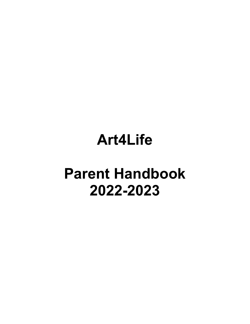# **Art4Life**

# **Parent Handbook 2022-2023**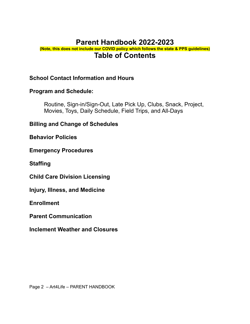# **Parent Handbook 2022-2023**

#### **(Note, this does not include our COVID policy which follows the state & PPS guidelines) Table of Contents**

#### **School Contact Information and Hours**

#### **Program and Schedule:**

Routine, Sign-in/Sign-Out, Late Pick Up, Clubs, Snack, Project, Movies, Toys, Daily Schedule, Field Trips, and All-Days

#### **Billing and Change of Schedules**

**Behavior Policies**

#### **Emergency Procedures**

**Staffing**

**Child Care Division Licensing**

**Injury, Illness, and Medicine**

**Enrollment**

**Parent Communication**

**Inclement Weather and Closures**

Page 2 – Art4Life – PARENT HANDBOOK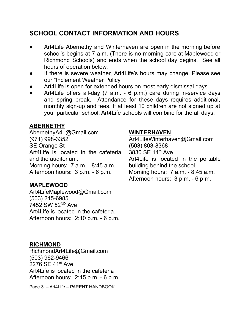## **SCHOOL CONTACT INFORMATION AND HOURS**

- Art4Life Abernethy and Winterhaven are open in the morning before school's begins at 7 a.m. (There is no morning care at Maplewood or Richmond Schools) and ends when the school day begins. See all hours of operation below.
- If there is severe weather, Art4Life's hours may change. Please see our "Inclement Weather Policy"
- Art4Life is open for extended hours on most early dismissal days.
- Art4Life offers all-day (7 a.m. 6 p.m.) care during in-service days and spring break. Attendance for these days requires additional, monthly sign-up and fees. If at least 10 children are not signed up at your particular school, Art4Life schools will combine for the all days.

## **ABERNETHY**

AbernethyA4L@Gmail.com (971) 998-3352 SE Orange St Art4Life is located in the cafeteria and the auditorium. Morning hours: 7 a.m. - 8:45 a.m. Afternoon hours: 3 p.m. - 6 p.m.

## **MAPLEWOOD**

Art4LifeMaplewood@Gmail.com (503) 245-6985 7452 SW 52<sup>ND</sup> Ave Art4Life is located in the cafeteria. Afternoon hours: 2:10 p.m. - 6 p.m.

## **WINTERHAVEN**

[Art4LifeWinterhaven@Gmail.com](mailto:Art4LifeWinterhaven@Gmail.com) (503) 803-8368 3830 SE 14 th Ave Art4Life is located in the portable building behind the school. Morning hours: 7 a.m. - 8:45 a.m. Afternoon hours: 3 p.m. - 6 p.m.

#### **RICHMOND**

RichmondArt4Life@Gmail.com (503) 962-9466 2276 SE 41<sup>st</sup> Ave Art4Life is located in the cafeteria Afternoon hours: 2:15 p.m. - 6 p.m.

Page 3 – Art4Life – PARENT HANDBOOK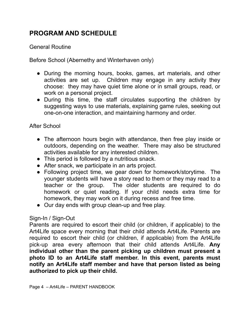# **PROGRAM AND SCHEDULE**

#### General Routine

Before School (Abernethy and Winterhaven only)

- During the morning hours, books, games, art materials, and other activities are set up. Children may engage in any activity they choose: they may have quiet time alone or in small groups, read, or work on a personal project.
- During this time, the staff circulates supporting the children by suggesting ways to use materials, explaining game rules, seeking out one-on-one interaction, and maintaining harmony and order.

#### After School

- The afternoon hours begin with attendance, then free play inside or outdoors, depending on the weather. There may also be structured activities available for any interested children.
- This period is followed by a nutritious snack.
- After snack, we participate in an arts project.
- Following project time, we gear down for homework/storytime. The younger students will have a story read to them or they may read to a teacher or the group. The older students are required to do homework or quiet reading. If your child needs extra time for homework, they may work on it during recess and free time.
- Our day ends with group clean-up and free play.

#### Sign-In / Sign-Out

Parents are required to escort their child (or children, if applicable) to the Art4Life space every morning that their child attends Art4Life. Parents are required to escort their child (or children, if applicable) from the Art4Life pick-up area every afternoon that their child attends Art4Life. **Any individual other than the parent picking up children must present a photo ID to an Art4Life staff member. In this event, parents must notify an Art4Life staff member and have that person listed as being authorized to pick up their child.**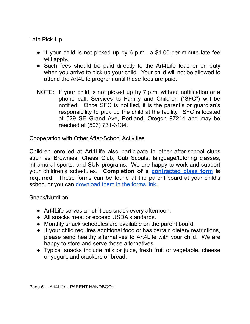Late Pick-Up

- If your child is not picked up by 6 p.m., a \$1.00-per-minute late fee will apply.
- Such fees should be paid directly to the Art4Life teacher on duty when you arrive to pick up your child. Your child will not be allowed to attend the Art4Life program until these fees are paid.
- NOTE: If your child is not picked up by 7 p.m. without notification or a phone call, Services to Family and Children ("SFC") will be notified. Once SFC is notified, it is the parent's or guardian's responsibility to pick up the child at the facility. SFC is located at 529 SE Grand Ave, Portland, Oregon 97214 and may be reached at (503) 731-3134.

Cooperation with Other After-School Activities

Children enrolled at Art4Life also participate in other after-school clubs such as Brownies, Chess Club, Cub Scouts, language/tutoring classes, intramural sports, and SUN programs. We are happy to work and support your children's schedules. **Completion of a [contracted](https://art4life.net/wp-content/uploads/2021/09/Fillable-Permission-to-Attend-Contract-Class.pdf) class form is required.** These forms can be found at the parent board at your child's school or you can [download](https://art4life.net/wp-content/uploads/2021/09/Fillable-Permission-to-Attend-Contract-Class.pdf) them in the forms link.

Snack/Nutrition

- Art4Life serves a nutritious snack every afternoon.
- All snacks meet or exceed USDA standards.
- Monthly snack schedules are available on the parent board.
- If your child requires additional food or has certain dietary restrictions, please send healthy alternatives to Art4Life with your child. We are happy to store and serve those alternatives.
- Typical snacks include milk or juice, fresh fruit or vegetable, cheese or yogurt, and crackers or bread.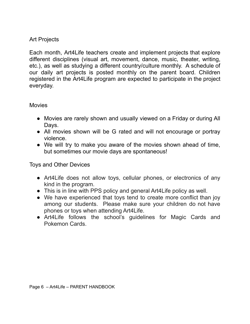#### Art Projects

Each month, Art4Life teachers create and implement projects that explore different disciplines (visual art, movement, dance, music, theater, writing, etc.), as well as studying a different country/culture monthly. A schedule of our daily art projects is posted monthly on the parent board. Children registered in the Art4Life program are expected to participate in the project everyday.

**Movies** 

- Movies are rarely shown and usually viewed on a Friday or during All Days.
- All movies shown will be G rated and will not encourage or portray violence.
- We will try to make you aware of the movies shown ahead of time, but sometimes our movie days are spontaneous!

Toys and Other Devices

- **●** Art4Life does not allow toys, cellular phones, or electronics of any kind in the program.
- **●** This is in line with PPS policy and general Art4Life policy as well.
- **●** We have experienced that toys tend to create more conflict than joy among our students. Please make sure your children do not have phones or toys when attending Art4Life.
- **●** Art4Life follows the school's guidelines for Magic Cards and Pokemon Cards.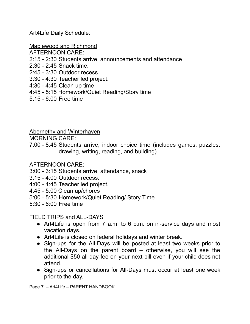Art4Life Daily Schedule:

Maplewood and Richmond

- AFTERNOON CARE:
- 2:15 2:30 Students arrive; announcements and attendance
- 2:30 2:45 Snack time.
- 2:45 3:30 Outdoor recess
- 3:30 4:30 Teacher led project.
- 4:30 4:45 Clean up time
- 4:45 5:15 Homework/Quiet Reading/Story time
- 5:15 6:00 Free time

Abernethy and Winterhaven

MORNING CARE:

7:00 - 8:45 Students arrive; indoor choice time (includes games, puzzles, drawing, writing, reading, and building).

#### AFTERNOON CARE:

- 3:00 3:15 Students arrive, attendance, snack
- 3:15 4:00 Outdoor recess.
- 4:00 4:45 Teacher led project.
- 4:45 5:00 Clean up/chores
- 5:00 5:30 Homework/Quiet Reading/ Story Time.
- 5:30 6:00 Free time

FIELD TRIPS and ALL-DAYS

- Art4Life is open from 7 a.m. to 6 p.m. on in-service days and most vacation days.
- Art4Life is closed on federal holidays and winter break.
- Sign-ups for the All-Days will be posted at least two weeks prior to the All-Days on the parent board – otherwise, you will see the additional \$50 all day fee on your next bill even if your child does not attend.
- Sign-ups or cancellations for All-Days must occur at least one week prior to the day.

Page 7 – Art4Life – PARENT HANDBOOK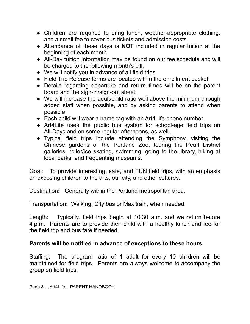- Children are required to bring lunch, weather-appropriate clothing, and a small fee to cover bus tickets and admission costs.
- Attendance of these days is **NOT** included in regular tuition at the beginning of each month.
- All-Day tuition information may be found on our fee schedule and will be charged to the following month's bill.
- We will notify you in advance of all field trips.
- Field Trip Release forms are located within the enrollment packet.
- Details regarding departure and return times will be on the parent board and the sign-in/sign-out sheet.
- We will increase the adult/child ratio well above the minimum through added staff when possible, and by asking parents to attend when possible.
- Each child will wear a name tag with an Art4Life phone number.
- Art4Life uses the public bus system for school-age field trips on All-Days and on some regular afternoons, as well.
- Typical field trips include attending the Symphony, visiting the Chinese gardens or the Portland Zoo, touring the Pearl District galleries, roller/ice skating, swimming, going to the library, hiking at local parks, and frequenting museums.

Goal: To provide interesting, safe, and FUN field trips, with an emphasis on exposing children to the arts, our city, and other cultures.

Destination**:** Generally within the Portland metropolitan area.

Transportation**:** Walking, City bus or Max train, when needed.

Length: Typically, field trips begin at 10:30 a.m. and we return before 4 p.m. Parents are to provide their child with a healthy lunch and fee for the field trip and bus fare if needed.

#### **Parents will be notified in advance of exceptions to these hours.**

Staffing: The program ratio of 1 adult for every 10 children will be maintained for field trips. Parents are always welcome to accompany the group on field trips.

Page 8 – Art4Life – PARENT HANDBOOK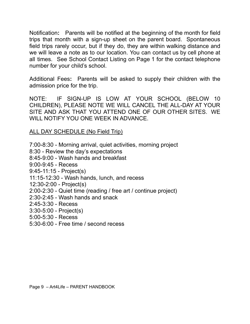Notification**:** Parents will be notified at the beginning of the month for field trips that month with a sign-up sheet on the parent board. Spontaneous field trips rarely occur, but if they do, they are within walking distance and we will leave a note as to our location. You can contact us by cell phone at all times. See School Contact Listing on Page 1 for the contact telephone number for your child's school.

Additional Fees**:** Parents will be asked to supply their children with the admission price for the trip.

NOTE: IF SIGN-UP IS LOW AT YOUR SCHOOL (BELOW 10 CHILDREN), PLEASE NOTE WE WILL CANCEL THE ALL-DAY AT YOUR SITE AND ASK THAT YOU ATTEND ONE OF OUR OTHER SITES. WE WILL NOTIFY YOU ONE WEEK IN ADVANCE.

ALL DAY SCHEDULE (No Field Trip)

- 7:00-8:30 Morning arrival, quiet activities, morning project
- 8:30 Review the day's expectations
- 8:45-9:00 Wash hands and breakfast
- 9:00-9:45 Recess
- 9:45-11:15 Project(s)
- 11:15-12:30 Wash hands, lunch, and recess
- 12:30-2:00 Project(s)
- 2:00-2:30 Quiet time (reading / free art / continue project)
- 2:30-2:45 Wash hands and snack
- 2:45-3:30 Recess
- 3:30-5:00 Project(s)
- 5:00-5:30 Recess
- 5:30-6:00 Free time / second recess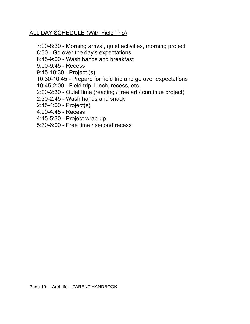#### ALL DAY SCHEDULE (With Field Trip)

- 7:00-8:30 Morning arrival, quiet activities, morning project
- 8:30 Go over the day's expectations
- 8:45-9:00 Wash hands and breakfast
- 9:00-9:45 Recess
- 9:45-10:30 Project (s)
- 10:30-10:45 Prepare for field trip and go over expectations
- 10:45-2:00 Field trip, lunch, recess, etc.
- 2:00-2:30 Quiet time (reading / free art / continue project)
- 2:30-2:45 Wash hands and snack
- 2:45-4:00 Project(s)
- 4:00-4:45 Recess
- 4:45-5:30 Project wrap-up
- 5:30-6:00 Free time / second recess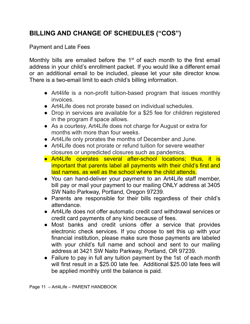# **BILLING AND CHANGE OF SCHEDULES ("COS")**

#### Payment and Late Fees

Monthly bills are emailed before the  $1<sup>st</sup>$  of each month to the first email address in your child's enrollment packet. If you would like a different email or an additional email to be included, please let your site director know. There is a two-email limit to each child's billing information.

- Art4life is a non-profit tuition-based program that issues monthly invoices.
- Art4Life does not prorate based on individual schedules.
- Drop in services are available for a \$25 fee for children registered in the program if space allows.
- As a courtesy, Art4Life does not charge for August or extra for months with more than four weeks.
- Art4Life only prorates the months of December and June.
- Art4Life does not prorate or refund tuition for severe weather closures or unpredicted closures such as pandemics.
- Art4Life operates several after-school locations; thus, it is important that parents label all payments with their child's first and last names, as well as the school where the child attends.
- You can hand-deliver your payment to an Art4Life staff member, bill pay or mail your payment to our mailing ONLY address at 3405 SW Naito Parkway, Portland, Oregon 97239.
- Parents are responsible for their bills regardless of their child's attendance.
- Art4Life does not offer automatic credit card withdrawal services or credit card payments of any kind because of fees.
- Most banks and credit unions offer a service that provides electronic check services. If you choose to set this up with your financial institution, please make sure those payments are labeled with your child's full name and school and sent to our mailing address at 3421 SW Naito Parkway, Portland, OR 97239.
- Failure to pay in full any tuition payment by the 1st of each month will first result in a \$25.00 late fee. Additional \$25.00 late fees will be applied monthly until the balance is paid.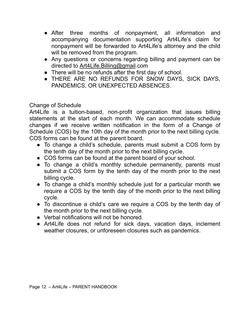- After three months of nonpayment, all information and accompanying documentation supporting Art4Life's claim for nonpayment will be forwarded to Art4Life's attorney and the child will be removed from the program.
- Any questions or concerns regarding billing and payment can be directed to Art4Life.Billing@gmail.com
- There will be no refunds after the first day of school.
- **THERE ARE NO REFUNDS FOR SNOW DAYS, SICK DAYS,** PANDEMICS, OR UNEXPECTED ABSENCES.

#### Change of Schedule

Art4Life is a tuition-based, non-profit organization that issues billing statements at the start of each month. We can accommodate schedule changes if we receive written notification in the form of a Change of Schedule (COS) by the 10th day of the month prior to the next billing cycle. COS forms can be found at the parent board.

- To change a child's schedule, parents must submit a COS form by the tenth day of the month prior to the next billing cycle.
- COS forms can be found at the parent board of your school.
- To change a child's monthly schedule permanently, parents must submit a COS form by the tenth day of the month prior to the next billing cycle.
- To change a child's monthly schedule just for a particular month we require a COS by the tenth day of the month prior to the next billing cycle.
- To discontinue a child's care we require a COS by the tenth day of the month prior to the next billing cycle.
- Verbal notifications will not be honored.
- Art4Life does not refund for sick days, vacation days, inclement weather closures, or unforeseen closures such as pandemics.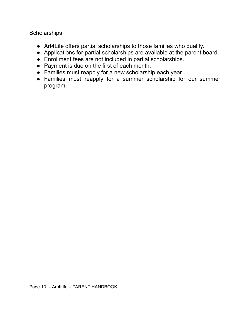**Scholarships** 

- Art4Life offers partial scholarships to those families who qualify.
- Applications for partial scholarships are available at the parent board.
- Enrollment fees are not included in partial scholarships.
- Payment is due on the first of each month.
- Families must reapply for a new scholarship each year.
- Families must reapply for a summer scholarship for our summer program.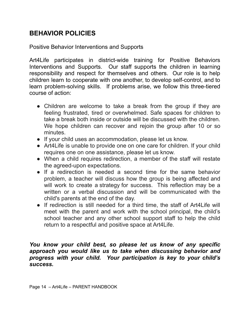## **BEHAVIOR POLICIES**

Positive Behavior Interventions and Supports

Art4Life participates in district-wide training for Positive Behaviors Interventions and Supports. Our staff supports the children in learning responsibility and respect for themselves and others. Our role is to help children learn to cooperate with one another, to develop self-control, and to learn problem-solving skills. If problems arise, we follow this three-tiered course of action:

- Children are welcome to take a break from the group if they are feeling frustrated, tired or overwhelmed. Safe spaces for children to take a break both inside or outside will be discussed with the children. We hope children can recover and rejoin the group after 10 or so minutes.
- If your child uses an accommodation, please let us know.
- Art4Life is unable to provide one on one care for children. If your child requires one on one assistance, please let us know.
- When a child requires redirection, a member of the staff will restate the agreed-upon expectations.
- If a redirection is needed a second time for the same behavior problem, a teacher will discuss how the group is being affected and will work to create a strategy for success. This reflection may be a written or a verbal discussion and will be communicated with the child's parents at the end of the day.
- If redirection is still needed for a third time, the staff of Art4Life will meet with the parent and work with the school principal, the child's school teacher and any other school support staff to help the child return to a respectful and positive space at Art4Life.

#### *You know your child best, so please let us know of any specific approach you would like us to take when discussing behavior and progress with your child. Your participation is key to your child's success.*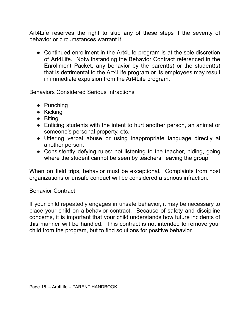Art4Life reserves the right to skip any of these steps if the severity of behavior or circumstances warrant it.

• Continued enrollment in the Art4Life program is at the sole discretion of Art4Life. Notwithstanding the Behavior Contract referenced in the Enrollment Packet, any behavior by the parent(s) or the student(s) that is detrimental to the Art4Life program or its employees may result in immediate expulsion from the Art4Life program.

Behaviors Considered Serious Infractions

- Punching
- Kicking
- Biting
- Enticing students with the intent to hurt another person, an animal or someone's personal property, etc.
- Uttering verbal abuse or using inappropriate language directly at another person.
- Consistently defying rules: not listening to the teacher, hiding, going where the student cannot be seen by teachers, leaving the group.

When on field trips, behavior must be exceptional. Complaints from host organizations or unsafe conduct will be considered a serious infraction.

#### Behavior Contract

If your child repeatedly engages in unsafe behavior, it may be necessary to place your child on a behavior contract. Because of safety and discipline concerns, it is important that your child understands how future incidents of this manner will be handled. This contract is not intended to remove your child from the program, but to find solutions for positive behavior.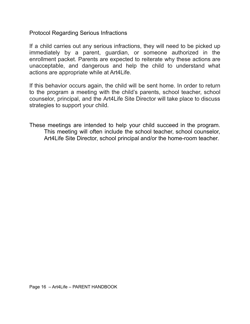Protocol Regarding Serious Infractions

If a child carries out any serious infractions, they will need to be picked up immediately by a parent, guardian, or someone authorized in the enrollment packet. Parents are expected to reiterate why these actions are unacceptable, and dangerous and help the child to understand what actions are appropriate while at Art4Life.

If this behavior occurs again, the child will be sent home. In order to return to the program a meeting with the child's parents, school teacher, school counselor, principal, and the Art4Life Site Director will take place to discuss strategies to support your child.

These meetings are intended to help your child succeed in the program. This meeting will often include the school teacher, school counselor, Art4Life Site Director, school principal and/or the home-room teacher.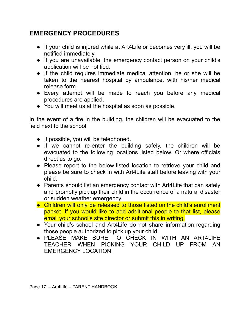# **EMERGENCY PROCEDURES**

- If your child is injured while at Art4Life or becomes very ill, you will be notified immediately.
- If you are unavailable, the emergency contact person on your child's application will be notified.
- If the child requires immediate medical attention, he or she will be taken to the nearest hospital by ambulance, with his/her medical release form.
- Every attempt will be made to reach you before any medical procedures are applied.
- You will meet us at the hospital as soon as possible.

In the event of a fire in the building, the children will be evacuated to the field next to the school.

- If possible, you will be telephoned.
- If we cannot re-enter the building safely, the children will be evacuated to the following locations listed below. Or where officials direct us to go.
- Please report to the below-listed location to retrieve your child and please be sure to check in with Art4Life staff before leaving with your child.
- Parents should list an emergency contact with Art4Life that can safely and promptly pick up their child in the occurrence of a natural disaster or sudden weather emergency.
- Children will only be released to those listed on the child's enrollment packet. If you would like to add additional people to that list, please email your school's site director or submit this in writing.
- Your child's school and Art4Life do not share information regarding those people authorized to pick up your child.
- PLEASE MAKE SURE TO CHECK IN WITH AN ART4LIFE TEACHER WHEN PICKING YOUR CHILD UP FROM AN EMERGENCY LOCATION.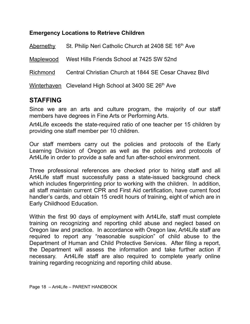#### **Emergency Locations to Retrieve Children**

| <b>Abernethy</b> | St. Philip Neri Catholic Church at 2408 SE 16th Ave   |
|------------------|-------------------------------------------------------|
| Maplewood        | West Hills Friends School at 7425 SW 52nd             |
| Richmond         | Central Christian Church at 1844 SE Cesar Chavez Blvd |
|                  | Winterhaven Cleveland High School at 3400 SE 26th Ave |

## **STAFFING**

Since we are an arts and culture program, the majority of our staff members have degrees in Fine Arts or Performing Arts.

Art4Life exceeds the state-required ratio of one teacher per 15 children by providing one staff member per 10 children.

Our staff members carry out the policies and protocols of the Early Learning Division of Oregon as well as the policies and protocols of Art4Life in order to provide a safe and fun after-school environment.

Three professional references are checked prior to hiring staff and all Art4Life staff must successfully pass a state-issued background check which includes fingerprinting prior to working with the children. In addition, all staff maintain current CPR and First Aid certification, have current food handler's cards, and obtain 15 credit hours of training, eight of which are in Early Childhood Education.

Within the first 90 days of employment with Art4Life, staff must complete training on recognizing and reporting child abuse and neglect based on Oregon law and practice. In accordance with Oregon law, Art4Life staff are required to report any "reasonable suspicion" of child abuse to the Department of Human and Child Protective Services. After filing a report, the Department will assess the information and take further action if necessary. Art4Life staff are also required to complete yearly online training regarding recognizing and reporting child abuse.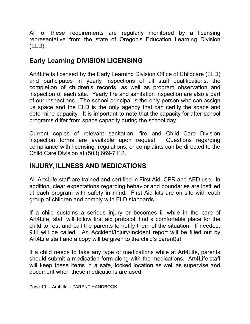All of these requirements are regularly monitored by a licensing representative from the state of Oregon's Education Learning Division (ELD).

## **Early Learning DIVISION LICENSING**

Art4Life is licensed by the Early Learning Division Office of Childcare (ELD) and participates in yearly inspections of all staff qualifications, the completion of children's records, as well as program observation and inspection of each site. Yearly fire and sanitation inspection are also a part of our inspections. The school principal is the only person who can assign us space and the ELD is the only agency that can certify the space and determine capacity. It is important to note that the capacity for after-school programs differ from space capacity during the school day.

Current copies of relevant sanitation, fire and Child Care Division inspection forms are available upon request. Questions regarding compliance with licensing, regulations, or complaints can be directed to the Child Care Division at (503) 669-7112.

## **INJURY, ILLNESS AND MEDICATIONS**

All Art4Life staff are trained and certified in First Aid, CPR and AED use. In addition, clear expectations regarding behavior and boundaries are instilled at each program with safety in mind. First Aid kits are on site with each group of children and comply with ELD standards.

If a child sustains a serious injury or becomes ill while in the care of Art4Life, staff will follow first aid protocol, find a comfortable place for the child to rest and call the parents to notify them of the situation. If needed, 911 will be called. An Accident/Injury/Incident report will be filled out by Art4Life staff and a copy will be given to the child's parent(s).

If a child needs to take any type of medications while at Art4Life, parents should submit a medication form along with the medications. Art4Life staff will keep these items in a safe, locked location as well as supervise and document when these medications are used.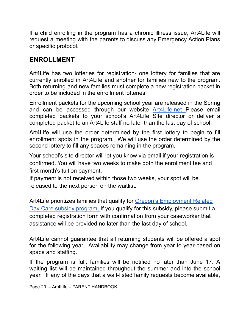If a child enrolling in the program has a chronic illness issue, Art4Life will request a meeting with the parents to discuss any Emergency Action Plans or specific protocol.

## **ENROLLMENT**

Art4Life has two lotteries for registration- one lottery for families that are currently enrolled in Art4Life and another for families new to the program. Both returning and new families must complete a new registration packet in order to be included in the enrollment lotteries.

Enrollment packets for the upcoming school year are released in the Spring and can be accessed through our website [Art4Life.net](https://art4life.net/) Please email completed packets to your school's Art4Life Site director or deliver a completed packet to an Art4Life staff no later than the last day of school.

Art4Life will use the order determined by the first lottery to begin to fill enrollment spots in the program. We will use the order determined by the second lottery to fill any spaces remaining in the program.

Your school's site director will let you know via email if your registration is confirmed. You will have two weeks to make both the enrollment fee and first month's tuition payment.

If payment is not received within those two weeks, your spot will be released to the next person on the waitlist.

Art4Life prioritizes families that qualify for **Oregon's [Employment](https://www.oregon.gov/dhs/ASSISTANCE/CHILD-CARE/Pages/Parents.aspx) Related** Day Care subsidy [program,](https://www.oregon.gov/dhs/ASSISTANCE/CHILD-CARE/Pages/Parents.aspx) If you qualify for this subsidy, please submit a completed registration form with confirmation from your caseworker that assistance will be provided no later than the last day of school.

Art4Life cannot guarantee that all returning students will be offered a spot for the following year. Availability may change from year to year-based on space and staffing.

If the program is full, families will be notified no later than June 17. A waiting list will be maintained throughout the summer and into the school year. If any of the days that a wait-listed family requests become available,

Page 20 – Art4Life – PARENT HANDBOOK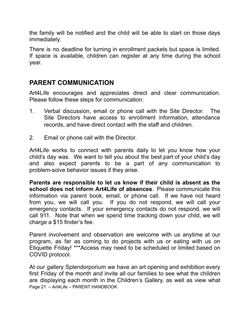the family will be notified and the child will be able to start on those days immediately.

There is no deadline for turning in enrollment packets but space is limited. If space is available, children can register at any time during the school year.

## **PARENT COMMUNICATION**

Art4Life encourages and appreciates direct and clear communication. Please follow these steps for communication:

- 1. Verbal discussion, email or phone call with the Site Director. The Site Directors have access to enrollment information, attendance records, and have direct contact with the staff and children.
- 2. Email or phone call with the Director.

Art4Life works to connect with parents daily to let you know how your child's day was. We want to tell you about the best part of your child's day and also expect parents to be a part of any communication to problem-solve behavior issues if they arise.

**Parents are responsible to let us know if their child is absent as the school does not inform Art4Life of absences**. Please communicate this information via parent book, email, or phone call. If we have not heard from you, we will call you. If you do not respond, we will call your emergency contacts. If your emergency contacts do not respond, we will call 911. Note that when we spend time tracking down your child, we will charge a \$15 finder's fee.

Parent involvement and observation are welcome with us anytime at our program, as far as coming to do projects with us or eating with us on Etiquette Friday! \*\*\*Access may need to be scheduled or limited based on COVID protocol.

At our gallery Splendorporium we have an art opening and exhibition every first Friday of the month and invite all our families to see what the children are displaying each month in the Children's Gallery, as well as view what Page 21 – Art4Life – PARENT HANDBOOK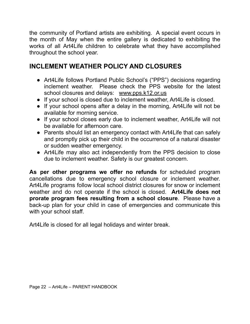the community of Portland artists are exhibiting. A special event occurs in the month of May when the entire gallery is dedicated to exhibiting the works of all Art4Life children to celebrate what they have accomplished throughout the school year.

# **INCLEMENT WEATHER POLICY AND CLOSURES**

- Art4Life follows Portland Public School's ("PPS") decisions regarding inclement weather. Please check the PPS website for the latest school closures and delays: [www.pps.k12.or.us](http://www.pps.k12.or.us)
- If your school is closed due to inclement weather, Art4Life is closed.
- If your school opens after a delay in the morning, Art4Life will not be available for morning service.
- If your school closes early due to inclement weather, Art4Life will not be available for afternoon care.
- Parents should list an emergency contact with Art4Life that can safely and promptly pick up their child in the occurrence of a natural disaster or sudden weather emergency.
- Art4Life may also act independently from the PPS decision to close due to inclement weather. Safety is our greatest concern.

**As per other programs we offer no refunds** for scheduled program cancellations due to emergency school closure or inclement weather. Art4Life programs follow local school district closures for snow or inclement weather and do not operate if the school is closed. **Art4Life does not prorate program fees resulting from a school closure**. Please have a back-up plan for your child in case of emergencies and communicate this with your school staff.

Art4Life is closed for all legal holidays and winter break.